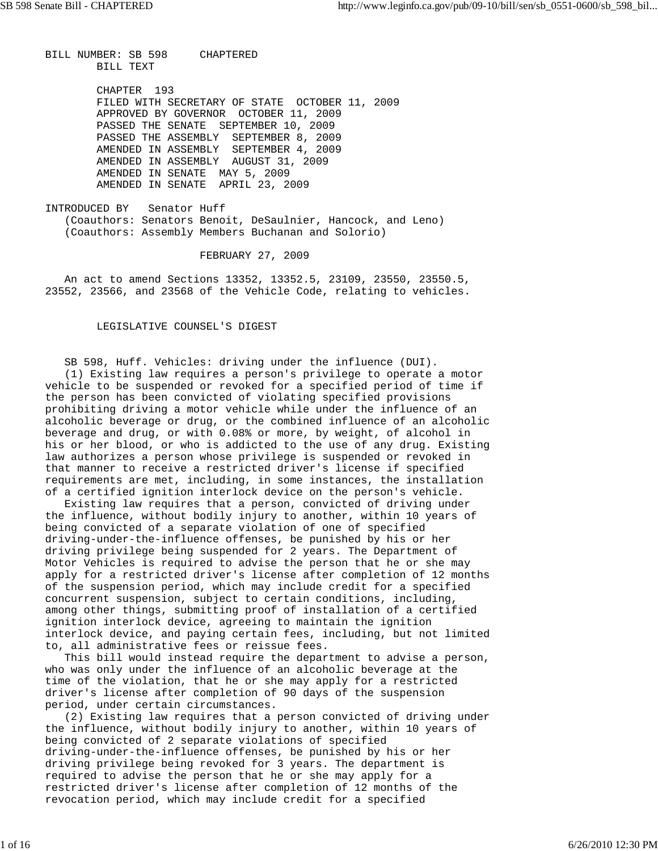BILL NUMBER: SB 598 CHAPTERED BILL TEXT

> CHAPTER 193 FILED WITH SECRETARY OF STATE OCTOBER 11, 2009 APPROVED BY GOVERNOR OCTOBER 11, 2009 PASSED THE SENATE SEPTEMBER 10, 2009 PASSED THE ASSEMBLY SEPTEMBER 8, 2009 AMENDED IN ASSEMBLY SEPTEMBER 4, 2009 AMENDED IN ASSEMBLY AUGUST 31, 2009 AMENDED IN SENATE MAY 5, 2009 AMENDED IN SENATE APRIL 23, 2009

INTRODUCED BY Senator Huff (Coauthors: Senators Benoit, DeSaulnier, Hancock, and Leno) (Coauthors: Assembly Members Buchanan and Solorio)

FEBRUARY 27, 2009

 An act to amend Sections 13352, 13352.5, 23109, 23550, 23550.5, 23552, 23566, and 23568 of the Vehicle Code, relating to vehicles.

## LEGISLATIVE COUNSEL'S DIGEST

 SB 598, Huff. Vehicles: driving under the influence (DUI). (1) Existing law requires a person's privilege to operate a motor vehicle to be suspended or revoked for a specified period of time if the person has been convicted of violating specified provisions prohibiting driving a motor vehicle while under the influence of an alcoholic beverage or drug, or the combined influence of an alcoholic beverage and drug, or with 0.08% or more, by weight, of alcohol in his or her blood, or who is addicted to the use of any drug. Existing law authorizes a person whose privilege is suspended or revoked in that manner to receive a restricted driver's license if specified requirements are met, including, in some instances, the installation of a certified ignition interlock device on the person's vehicle.

 Existing law requires that a person, convicted of driving under the influence, without bodily injury to another, within 10 years of being convicted of a separate violation of one of specified driving-under-the-influence offenses, be punished by his or her driving privilege being suspended for 2 years. The Department of Motor Vehicles is required to advise the person that he or she may apply for a restricted driver's license after completion of 12 months of the suspension period, which may include credit for a specified concurrent suspension, subject to certain conditions, including, among other things, submitting proof of installation of a certified ignition interlock device, agreeing to maintain the ignition interlock device, and paying certain fees, including, but not limited to, all administrative fees or reissue fees.

 This bill would instead require the department to advise a person, who was only under the influence of an alcoholic beverage at the time of the violation, that he or she may apply for a restricted driver's license after completion of 90 days of the suspension period, under certain circumstances.

 (2) Existing law requires that a person convicted of driving under the influence, without bodily injury to another, within 10 years of being convicted of 2 separate violations of specified driving-under-the-influence offenses, be punished by his or her driving privilege being revoked for 3 years. The department is required to advise the person that he or she may apply for a restricted driver's license after completion of 12 months of the revocation period, which may include credit for a specified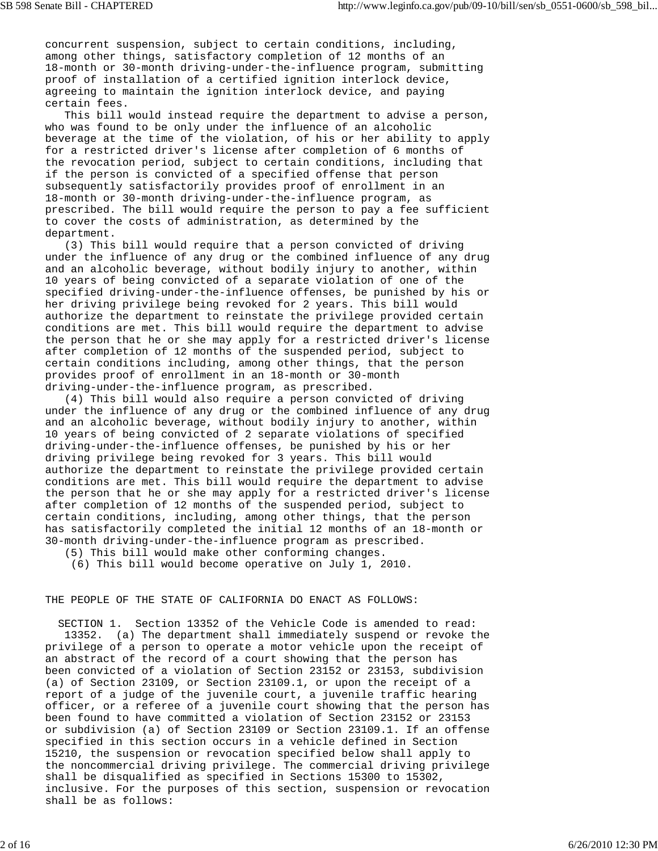concurrent suspension, subject to certain conditions, including, among other things, satisfactory completion of 12 months of an 18-month or 30-month driving-under-the-influence program, submitting proof of installation of a certified ignition interlock device, agreeing to maintain the ignition interlock device, and paying certain fees.

 This bill would instead require the department to advise a person, who was found to be only under the influence of an alcoholic beverage at the time of the violation, of his or her ability to apply for a restricted driver's license after completion of 6 months of the revocation period, subject to certain conditions, including that if the person is convicted of a specified offense that person subsequently satisfactorily provides proof of enrollment in an 18-month or 30-month driving-under-the-influence program, as prescribed. The bill would require the person to pay a fee sufficient to cover the costs of administration, as determined by the department.

 (3) This bill would require that a person convicted of driving under the influence of any drug or the combined influence of any drug and an alcoholic beverage, without bodily injury to another, within 10 years of being convicted of a separate violation of one of the specified driving-under-the-influence offenses, be punished by his or her driving privilege being revoked for 2 years. This bill would authorize the department to reinstate the privilege provided certain conditions are met. This bill would require the department to advise the person that he or she may apply for a restricted driver's license after completion of 12 months of the suspended period, subject to certain conditions including, among other things, that the person provides proof of enrollment in an 18-month or 30-month driving-under-the-influence program, as prescribed.

 (4) This bill would also require a person convicted of driving under the influence of any drug or the combined influence of any drug and an alcoholic beverage, without bodily injury to another, within 10 years of being convicted of 2 separate violations of specified driving-under-the-influence offenses, be punished by his or her driving privilege being revoked for 3 years. This bill would authorize the department to reinstate the privilege provided certain conditions are met. This bill would require the department to advise the person that he or she may apply for a restricted driver's license after completion of 12 months of the suspended period, subject to certain conditions, including, among other things, that the person has satisfactorily completed the initial 12 months of an 18-month or 30-month driving-under-the-influence program as prescribed.

(5) This bill would make other conforming changes.

(6) This bill would become operative on July 1, 2010.

## THE PEOPLE OF THE STATE OF CALIFORNIA DO ENACT AS FOLLOWS:

 SECTION 1. Section 13352 of the Vehicle Code is amended to read: 13352. (a) The department shall immediately suspend or revoke the privilege of a person to operate a motor vehicle upon the receipt of an abstract of the record of a court showing that the person has been convicted of a violation of Section 23152 or 23153, subdivision (a) of Section 23109, or Section 23109.1, or upon the receipt of a report of a judge of the juvenile court, a juvenile traffic hearing officer, or a referee of a juvenile court showing that the person has been found to have committed a violation of Section 23152 or 23153 or subdivision (a) of Section 23109 or Section 23109.1. If an offense specified in this section occurs in a vehicle defined in Section 15210, the suspension or revocation specified below shall apply to the noncommercial driving privilege. The commercial driving privilege shall be disqualified as specified in Sections 15300 to 15302, inclusive. For the purposes of this section, suspension or revocation shall be as follows: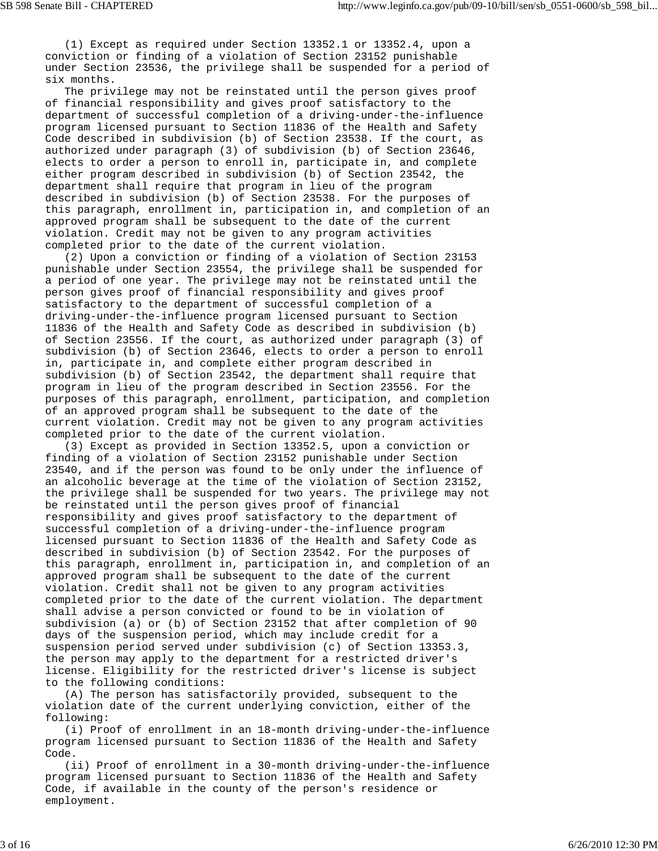(1) Except as required under Section 13352.1 or 13352.4, upon a conviction or finding of a violation of Section 23152 punishable under Section 23536, the privilege shall be suspended for a period of six months.

 The privilege may not be reinstated until the person gives proof of financial responsibility and gives proof satisfactory to the department of successful completion of a driving-under-the-influence program licensed pursuant to Section 11836 of the Health and Safety Code described in subdivision (b) of Section 23538. If the court, as authorized under paragraph (3) of subdivision (b) of Section 23646, elects to order a person to enroll in, participate in, and complete either program described in subdivision (b) of Section 23542, the department shall require that program in lieu of the program described in subdivision (b) of Section 23538. For the purposes of this paragraph, enrollment in, participation in, and completion of an approved program shall be subsequent to the date of the current violation. Credit may not be given to any program activities completed prior to the date of the current violation.

 (2) Upon a conviction or finding of a violation of Section 23153 punishable under Section 23554, the privilege shall be suspended for a period of one year. The privilege may not be reinstated until the person gives proof of financial responsibility and gives proof satisfactory to the department of successful completion of a driving-under-the-influence program licensed pursuant to Section 11836 of the Health and Safety Code as described in subdivision (b) of Section 23556. If the court, as authorized under paragraph (3) of subdivision (b) of Section 23646, elects to order a person to enroll in, participate in, and complete either program described in subdivision (b) of Section 23542, the department shall require that program in lieu of the program described in Section 23556. For the purposes of this paragraph, enrollment, participation, and completion of an approved program shall be subsequent to the date of the current violation. Credit may not be given to any program activities completed prior to the date of the current violation.

 (3) Except as provided in Section 13352.5, upon a conviction or finding of a violation of Section 23152 punishable under Section 23540, and if the person was found to be only under the influence of an alcoholic beverage at the time of the violation of Section 23152, the privilege shall be suspended for two years. The privilege may not be reinstated until the person gives proof of financial responsibility and gives proof satisfactory to the department of successful completion of a driving-under-the-influence program licensed pursuant to Section 11836 of the Health and Safety Code as described in subdivision (b) of Section 23542. For the purposes of this paragraph, enrollment in, participation in, and completion of an approved program shall be subsequent to the date of the current violation. Credit shall not be given to any program activities completed prior to the date of the current violation. The department shall advise a person convicted or found to be in violation of subdivision (a) or (b) of Section 23152 that after completion of 90 days of the suspension period, which may include credit for a suspension period served under subdivision (c) of Section 13353.3, the person may apply to the department for a restricted driver's license. Eligibility for the restricted driver's license is subject to the following conditions:

 (A) The person has satisfactorily provided, subsequent to the violation date of the current underlying conviction, either of the following:

 (i) Proof of enrollment in an 18-month driving-under-the-influence program licensed pursuant to Section 11836 of the Health and Safety Code.

 (ii) Proof of enrollment in a 30-month driving-under-the-influence program licensed pursuant to Section 11836 of the Health and Safety Code, if available in the county of the person's residence or employment.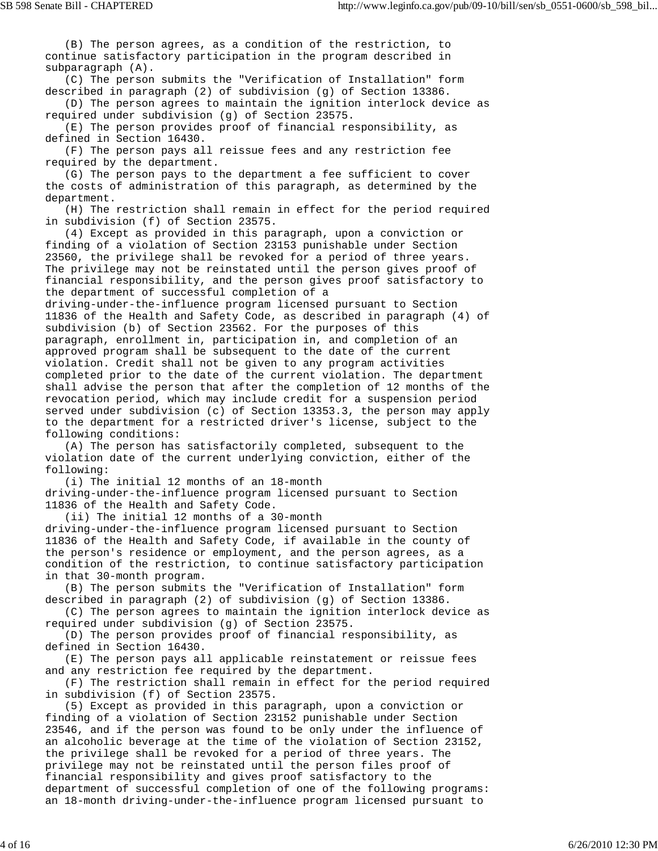(B) The person agrees, as a condition of the restriction, to continue satisfactory participation in the program described in subparagraph (A). (C) The person submits the "Verification of Installation" form described in paragraph (2) of subdivision (g) of Section 13386. (D) The person agrees to maintain the ignition interlock device as required under subdivision (g) of Section 23575. (E) The person provides proof of financial responsibility, as defined in Section 16430. (F) The person pays all reissue fees and any restriction fee required by the department. (G) The person pays to the department a fee sufficient to cover the costs of administration of this paragraph, as determined by the department. (H) The restriction shall remain in effect for the period required in subdivision (f) of Section 23575. (4) Except as provided in this paragraph, upon a conviction or finding of a violation of Section 23153 punishable under Section 23560, the privilege shall be revoked for a period of three years. The privilege may not be reinstated until the person gives proof of financial responsibility, and the person gives proof satisfactory to the department of successful completion of a driving-under-the-influence program licensed pursuant to Section 11836 of the Health and Safety Code, as described in paragraph (4) of subdivision (b) of Section 23562. For the purposes of this paragraph, enrollment in, participation in, and completion of an approved program shall be subsequent to the date of the current violation. Credit shall not be given to any program activities completed prior to the date of the current violation. The department shall advise the person that after the completion of 12 months of the revocation period, which may include credit for a suspension period served under subdivision (c) of Section 13353.3, the person may apply

to the department for a restricted driver's license, subject to the following conditions:

 (A) The person has satisfactorily completed, subsequent to the violation date of the current underlying conviction, either of the following:

 (i) The initial 12 months of an 18-month driving-under-the-influence program licensed pursuant to Section 11836 of the Health and Safety Code.

 (ii) The initial 12 months of a 30-month driving-under-the-influence program licensed pursuant to Section 11836 of the Health and Safety Code, if available in the county of the person's residence or employment, and the person agrees, as a condition of the restriction, to continue satisfactory participation in that 30-month program.

 (B) The person submits the "Verification of Installation" form described in paragraph (2) of subdivision (g) of Section 13386.

 (C) The person agrees to maintain the ignition interlock device as required under subdivision (g) of Section 23575.

 (D) The person provides proof of financial responsibility, as defined in Section 16430.

 (E) The person pays all applicable reinstatement or reissue fees and any restriction fee required by the department.

 (F) The restriction shall remain in effect for the period required in subdivision (f) of Section 23575.

 (5) Except as provided in this paragraph, upon a conviction or finding of a violation of Section 23152 punishable under Section 23546, and if the person was found to be only under the influence of an alcoholic beverage at the time of the violation of Section 23152, the privilege shall be revoked for a period of three years. The privilege may not be reinstated until the person files proof of financial responsibility and gives proof satisfactory to the department of successful completion of one of the following programs: an 18-month driving-under-the-influence program licensed pursuant to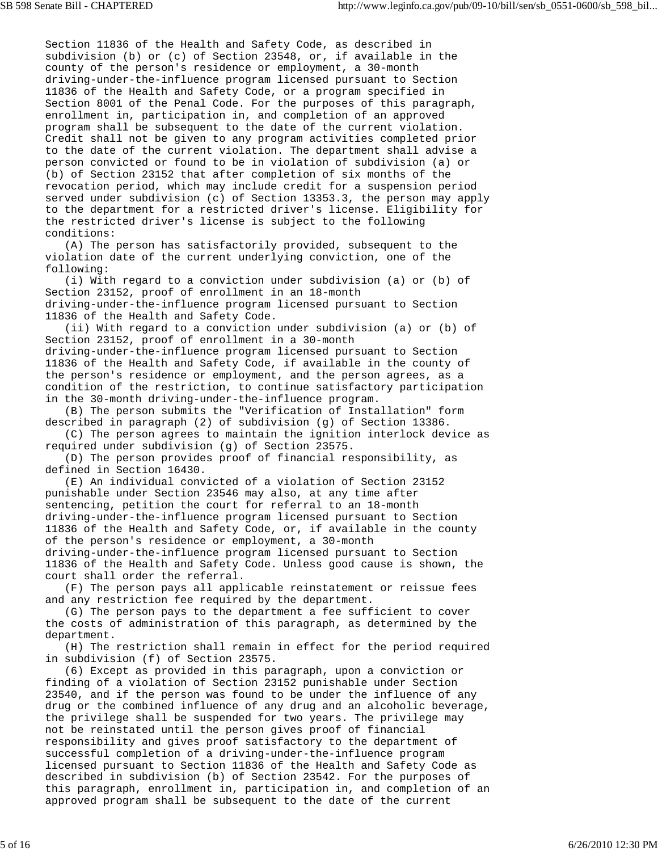Section 11836 of the Health and Safety Code, as described in subdivision (b) or (c) of Section 23548, or, if available in the county of the person's residence or employment, a 30-month driving-under-the-influence program licensed pursuant to Section 11836 of the Health and Safety Code, or a program specified in Section 8001 of the Penal Code. For the purposes of this paragraph, enrollment in, participation in, and completion of an approved program shall be subsequent to the date of the current violation. Credit shall not be given to any program activities completed prior to the date of the current violation. The department shall advise a person convicted or found to be in violation of subdivision (a) or (b) of Section 23152 that after completion of six months of the revocation period, which may include credit for a suspension period served under subdivision (c) of Section 13353.3, the person may apply to the department for a restricted driver's license. Eligibility for the restricted driver's license is subject to the following conditions:

 (A) The person has satisfactorily provided, subsequent to the violation date of the current underlying conviction, one of the following:

 (i) With regard to a conviction under subdivision (a) or (b) of Section 23152, proof of enrollment in an 18-month driving-under-the-influence program licensed pursuant to Section 11836 of the Health and Safety Code.

 (ii) With regard to a conviction under subdivision (a) or (b) of Section 23152, proof of enrollment in a 30-month driving-under-the-influence program licensed pursuant to Section 11836 of the Health and Safety Code, if available in the county of the person's residence or employment, and the person agrees, as a condition of the restriction, to continue satisfactory participation in the 30-month driving-under-the-influence program.

 (B) The person submits the "Verification of Installation" form described in paragraph (2) of subdivision (g) of Section 13386.

 (C) The person agrees to maintain the ignition interlock device as required under subdivision (g) of Section 23575.

 (D) The person provides proof of financial responsibility, as defined in Section 16430.

 (E) An individual convicted of a violation of Section 23152 punishable under Section 23546 may also, at any time after sentencing, petition the court for referral to an 18-month driving-under-the-influence program licensed pursuant to Section 11836 of the Health and Safety Code, or, if available in the county of the person's residence or employment, a 30-month driving-under-the-influence program licensed pursuant to Section 11836 of the Health and Safety Code. Unless good cause is shown, the court shall order the referral.

 (F) The person pays all applicable reinstatement or reissue fees and any restriction fee required by the department.

 (G) The person pays to the department a fee sufficient to cover the costs of administration of this paragraph, as determined by the department.

 (H) The restriction shall remain in effect for the period required in subdivision (f) of Section 23575.

 (6) Except as provided in this paragraph, upon a conviction or finding of a violation of Section 23152 punishable under Section 23540, and if the person was found to be under the influence of any drug or the combined influence of any drug and an alcoholic beverage, the privilege shall be suspended for two years. The privilege may not be reinstated until the person gives proof of financial responsibility and gives proof satisfactory to the department of successful completion of a driving-under-the-influence program licensed pursuant to Section 11836 of the Health and Safety Code as described in subdivision (b) of Section 23542. For the purposes of this paragraph, enrollment in, participation in, and completion of an approved program shall be subsequent to the date of the current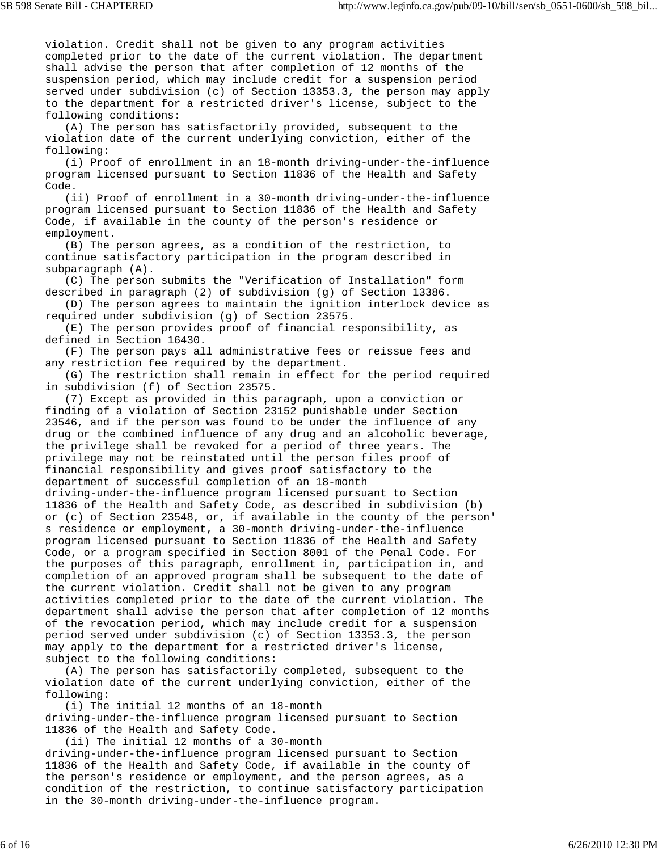violation. Credit shall not be given to any program activities completed prior to the date of the current violation. The department shall advise the person that after completion of 12 months of the suspension period, which may include credit for a suspension period served under subdivision (c) of Section 13353.3, the person may apply to the department for a restricted driver's license, subject to the following conditions:

 (A) The person has satisfactorily provided, subsequent to the violation date of the current underlying conviction, either of the following:

 (i) Proof of enrollment in an 18-month driving-under-the-influence program licensed pursuant to Section 11836 of the Health and Safety Code.

 (ii) Proof of enrollment in a 30-month driving-under-the-influence program licensed pursuant to Section 11836 of the Health and Safety Code, if available in the county of the person's residence or employment.

 (B) The person agrees, as a condition of the restriction, to continue satisfactory participation in the program described in subparagraph (A).

 (C) The person submits the "Verification of Installation" form described in paragraph (2) of subdivision (g) of Section 13386.

 (D) The person agrees to maintain the ignition interlock device as required under subdivision (g) of Section 23575.

 (E) The person provides proof of financial responsibility, as defined in Section 16430.

 (F) The person pays all administrative fees or reissue fees and any restriction fee required by the department.

 (G) The restriction shall remain in effect for the period required in subdivision (f) of Section 23575.

 (7) Except as provided in this paragraph, upon a conviction or finding of a violation of Section 23152 punishable under Section 23546, and if the person was found to be under the influence of any drug or the combined influence of any drug and an alcoholic beverage, the privilege shall be revoked for a period of three years. The privilege may not be reinstated until the person files proof of financial responsibility and gives proof satisfactory to the department of successful completion of an 18-month driving-under-the-influence program licensed pursuant to Section 11836 of the Health and Safety Code, as described in subdivision (b) or (c) of Section 23548, or, if available in the county of the person' s residence or employment, a 30-month driving-under-the-influence program licensed pursuant to Section 11836 of the Health and Safety Code, or a program specified in Section 8001 of the Penal Code. For the purposes of this paragraph, enrollment in, participation in, and completion of an approved program shall be subsequent to the date of the current violation. Credit shall not be given to any program activities completed prior to the date of the current violation. The department shall advise the person that after completion of 12 months of the revocation period, which may include credit for a suspension period served under subdivision (c) of Section 13353.3, the person may apply to the department for a restricted driver's license, subject to the following conditions:

 (A) The person has satisfactorily completed, subsequent to the violation date of the current underlying conviction, either of the following:

 (i) The initial 12 months of an 18-month driving-under-the-influence program licensed pursuant to Section 11836 of the Health and Safety Code.

 (ii) The initial 12 months of a 30-month driving-under-the-influence program licensed pursuant to Section 11836 of the Health and Safety Code, if available in the county of the person's residence or employment, and the person agrees, as a condition of the restriction, to continue satisfactory participation in the 30-month driving-under-the-influence program.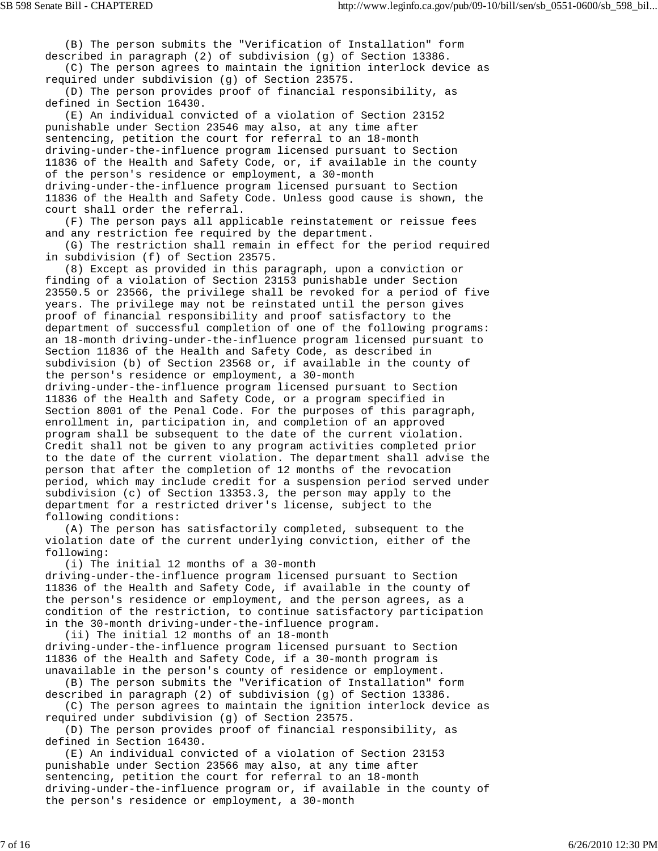(B) The person submits the "Verification of Installation" form described in paragraph (2) of subdivision (g) of Section 13386.

 (C) The person agrees to maintain the ignition interlock device as required under subdivision (g) of Section 23575.

 (D) The person provides proof of financial responsibility, as defined in Section 16430.

 (E) An individual convicted of a violation of Section 23152 punishable under Section 23546 may also, at any time after sentencing, petition the court for referral to an 18-month driving-under-the-influence program licensed pursuant to Section 11836 of the Health and Safety Code, or, if available in the county of the person's residence or employment, a 30-month driving-under-the-influence program licensed pursuant to Section 11836 of the Health and Safety Code. Unless good cause is shown, the court shall order the referral.

 (F) The person pays all applicable reinstatement or reissue fees and any restriction fee required by the department.

 (G) The restriction shall remain in effect for the period required in subdivision (f) of Section 23575.

 (8) Except as provided in this paragraph, upon a conviction or finding of a violation of Section 23153 punishable under Section 23550.5 or 23566, the privilege shall be revoked for a period of five years. The privilege may not be reinstated until the person gives proof of financial responsibility and proof satisfactory to the department of successful completion of one of the following programs: an 18-month driving-under-the-influence program licensed pursuant to Section 11836 of the Health and Safety Code, as described in subdivision (b) of Section 23568 or, if available in the county of the person's residence or employment, a 30-month driving-under-the-influence program licensed pursuant to Section 11836 of the Health and Safety Code, or a program specified in

Section 8001 of the Penal Code. For the purposes of this paragraph, enrollment in, participation in, and completion of an approved program shall be subsequent to the date of the current violation. Credit shall not be given to any program activities completed prior to the date of the current violation. The department shall advise the person that after the completion of 12 months of the revocation period, which may include credit for a suspension period served under subdivision (c) of Section 13353.3, the person may apply to the department for a restricted driver's license, subject to the following conditions:

 (A) The person has satisfactorily completed, subsequent to the violation date of the current underlying conviction, either of the following:

 (i) The initial 12 months of a 30-month driving-under-the-influence program licensed pursuant to Section 11836 of the Health and Safety Code, if available in the county of the person's residence or employment, and the person agrees, as a condition of the restriction, to continue satisfactory participation in the 30-month driving-under-the-influence program.

 (ii) The initial 12 months of an 18-month driving-under-the-influence program licensed pursuant to Section 11836 of the Health and Safety Code, if a 30-month program is unavailable in the person's county of residence or employment.

 (B) The person submits the "Verification of Installation" form described in paragraph (2) of subdivision (g) of Section 13386.

 (C) The person agrees to maintain the ignition interlock device as required under subdivision (g) of Section 23575.

 (D) The person provides proof of financial responsibility, as defined in Section 16430.

 (E) An individual convicted of a violation of Section 23153 punishable under Section 23566 may also, at any time after sentencing, petition the court for referral to an 18-month driving-under-the-influence program or, if available in the county of the person's residence or employment, a 30-month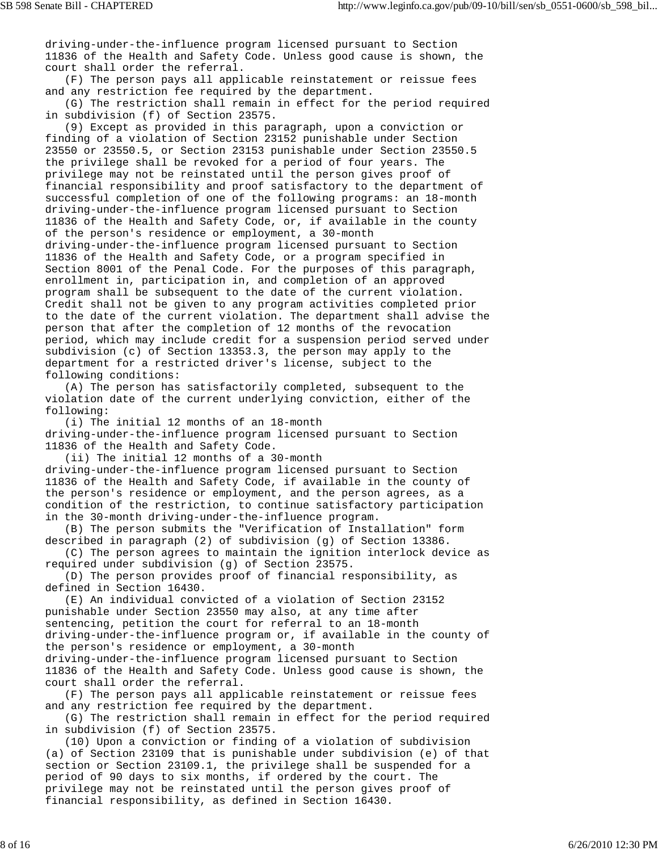driving-under-the-influence program licensed pursuant to Section 11836 of the Health and Safety Code. Unless good cause is shown, the court shall order the referral.

 (F) The person pays all applicable reinstatement or reissue fees and any restriction fee required by the department.

 (G) The restriction shall remain in effect for the period required in subdivision (f) of Section 23575.

 (9) Except as provided in this paragraph, upon a conviction or finding of a violation of Section 23152 punishable under Section 23550 or 23550.5, or Section 23153 punishable under Section 23550.5 the privilege shall be revoked for a period of four years. The privilege may not be reinstated until the person gives proof of financial responsibility and proof satisfactory to the department of successful completion of one of the following programs: an 18-month driving-under-the-influence program licensed pursuant to Section 11836 of the Health and Safety Code, or, if available in the county of the person's residence or employment, a 30-month driving-under-the-influence program licensed pursuant to Section 11836 of the Health and Safety Code, or a program specified in Section 8001 of the Penal Code. For the purposes of this paragraph, enrollment in, participation in, and completion of an approved program shall be subsequent to the date of the current violation. Credit shall not be given to any program activities completed prior to the date of the current violation. The department shall advise the person that after the completion of 12 months of the revocation period, which may include credit for a suspension period served under subdivision (c) of Section 13353.3, the person may apply to the department for a restricted driver's license, subject to the following conditions:

 (A) The person has satisfactorily completed, subsequent to the violation date of the current underlying conviction, either of the following:

 (i) The initial 12 months of an 18-month driving-under-the-influence program licensed pursuant to Section 11836 of the Health and Safety Code.

 (ii) The initial 12 months of a 30-month driving-under-the-influence program licensed pursuant to Section 11836 of the Health and Safety Code, if available in the county of the person's residence or employment, and the person agrees, as a condition of the restriction, to continue satisfactory participation in the 30-month driving-under-the-influence program.

 (B) The person submits the "Verification of Installation" form described in paragraph (2) of subdivision (g) of Section 13386.

 (C) The person agrees to maintain the ignition interlock device as required under subdivision (g) of Section 23575.

 (D) The person provides proof of financial responsibility, as defined in Section 16430.

 (E) An individual convicted of a violation of Section 23152 punishable under Section 23550 may also, at any time after sentencing, petition the court for referral to an 18-month driving-under-the-influence program or, if available in the county of the person's residence or employment, a 30-month driving-under-the-influence program licensed pursuant to Section 11836 of the Health and Safety Code. Unless good cause is shown, the court shall order the referral.

 (F) The person pays all applicable reinstatement or reissue fees and any restriction fee required by the department.

 (G) The restriction shall remain in effect for the period required in subdivision (f) of Section 23575.

 (10) Upon a conviction or finding of a violation of subdivision (a) of Section 23109 that is punishable under subdivision (e) of that section or Section 23109.1, the privilege shall be suspended for a period of 90 days to six months, if ordered by the court. The privilege may not be reinstated until the person gives proof of financial responsibility, as defined in Section 16430.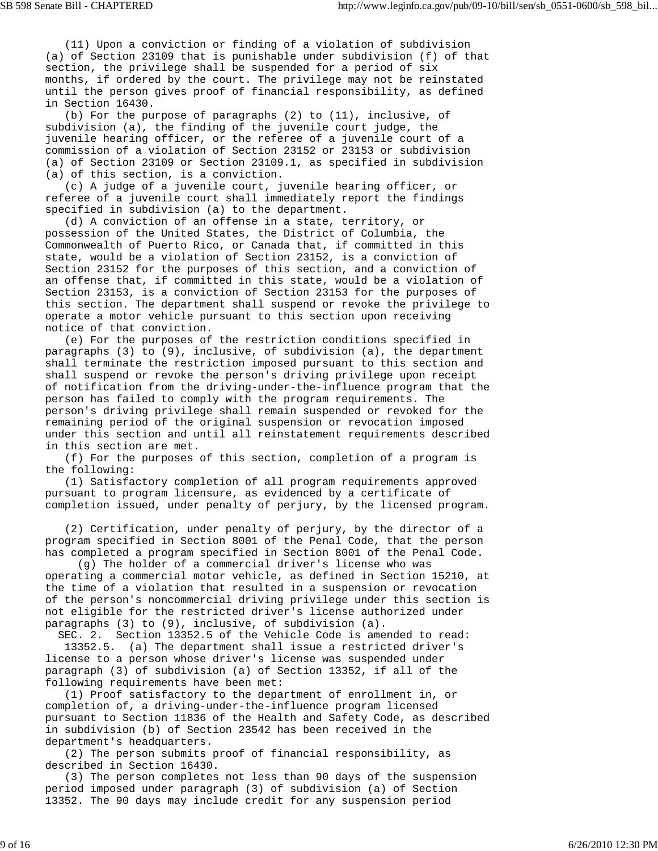(11) Upon a conviction or finding of a violation of subdivision (a) of Section 23109 that is punishable under subdivision (f) of that section, the privilege shall be suspended for a period of six months, if ordered by the court. The privilege may not be reinstated until the person gives proof of financial responsibility, as defined in Section 16430.

 (b) For the purpose of paragraphs (2) to (11), inclusive, of subdivision (a), the finding of the juvenile court judge, the juvenile hearing officer, or the referee of a juvenile court of a commission of a violation of Section 23152 or 23153 or subdivision (a) of Section 23109 or Section 23109.1, as specified in subdivision (a) of this section, is a conviction.

 (c) A judge of a juvenile court, juvenile hearing officer, or referee of a juvenile court shall immediately report the findings specified in subdivision (a) to the department.

 (d) A conviction of an offense in a state, territory, or possession of the United States, the District of Columbia, the Commonwealth of Puerto Rico, or Canada that, if committed in this state, would be a violation of Section 23152, is a conviction of Section 23152 for the purposes of this section, and a conviction of an offense that, if committed in this state, would be a violation of Section 23153, is a conviction of Section 23153 for the purposes of this section. The department shall suspend or revoke the privilege to operate a motor vehicle pursuant to this section upon receiving notice of that conviction.

 (e) For the purposes of the restriction conditions specified in paragraphs (3) to (9), inclusive, of subdivision (a), the department shall terminate the restriction imposed pursuant to this section and shall suspend or revoke the person's driving privilege upon receipt of notification from the driving-under-the-influence program that the person has failed to comply with the program requirements. The person's driving privilege shall remain suspended or revoked for the remaining period of the original suspension or revocation imposed under this section and until all reinstatement requirements described in this section are met.

 (f) For the purposes of this section, completion of a program is the following:

 (1) Satisfactory completion of all program requirements approved pursuant to program licensure, as evidenced by a certificate of completion issued, under penalty of perjury, by the licensed program.

 (2) Certification, under penalty of perjury, by the director of a program specified in Section 8001 of the Penal Code, that the person has completed a program specified in Section 8001 of the Penal Code.

 (g) The holder of a commercial driver's license who was operating a commercial motor vehicle, as defined in Section 15210, at the time of a violation that resulted in a suspension or revocation of the person's noncommercial driving privilege under this section is not eligible for the restricted driver's license authorized under paragraphs (3) to (9), inclusive, of subdivision (a).

 SEC. 2. Section 13352.5 of the Vehicle Code is amended to read: 13352.5. (a) The department shall issue a restricted driver's license to a person whose driver's license was suspended under paragraph (3) of subdivision (a) of Section 13352, if all of the following requirements have been met:

 (1) Proof satisfactory to the department of enrollment in, or completion of, a driving-under-the-influence program licensed pursuant to Section 11836 of the Health and Safety Code, as described in subdivision (b) of Section 23542 has been received in the department's headquarters.

 (2) The person submits proof of financial responsibility, as described in Section 16430.

 (3) The person completes not less than 90 days of the suspension period imposed under paragraph (3) of subdivision (a) of Section 13352. The 90 days may include credit for any suspension period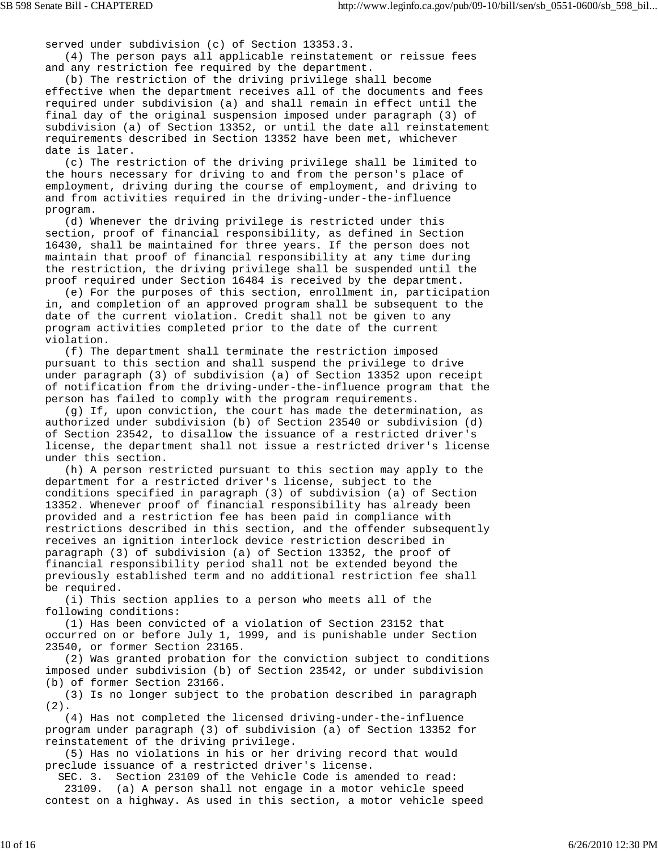served under subdivision (c) of Section 13353.3.

 (4) The person pays all applicable reinstatement or reissue fees and any restriction fee required by the department.

 (b) The restriction of the driving privilege shall become effective when the department receives all of the documents and fees required under subdivision (a) and shall remain in effect until the final day of the original suspension imposed under paragraph (3) of subdivision (a) of Section 13352, or until the date all reinstatement requirements described in Section 13352 have been met, whichever date is later.

 (c) The restriction of the driving privilege shall be limited to the hours necessary for driving to and from the person's place of employment, driving during the course of employment, and driving to and from activities required in the driving-under-the-influence program.

 (d) Whenever the driving privilege is restricted under this section, proof of financial responsibility, as defined in Section 16430, shall be maintained for three years. If the person does not maintain that proof of financial responsibility at any time during the restriction, the driving privilege shall be suspended until the proof required under Section 16484 is received by the department.

 (e) For the purposes of this section, enrollment in, participation in, and completion of an approved program shall be subsequent to the date of the current violation. Credit shall not be given to any program activities completed prior to the date of the current violation.

 (f) The department shall terminate the restriction imposed pursuant to this section and shall suspend the privilege to drive under paragraph (3) of subdivision (a) of Section 13352 upon receipt of notification from the driving-under-the-influence program that the person has failed to comply with the program requirements.

 (g) If, upon conviction, the court has made the determination, as authorized under subdivision (b) of Section 23540 or subdivision (d) of Section 23542, to disallow the issuance of a restricted driver's license, the department shall not issue a restricted driver's license under this section.

 (h) A person restricted pursuant to this section may apply to the department for a restricted driver's license, subject to the conditions specified in paragraph (3) of subdivision (a) of Section 13352. Whenever proof of financial responsibility has already been provided and a restriction fee has been paid in compliance with restrictions described in this section, and the offender subsequently receives an ignition interlock device restriction described in paragraph (3) of subdivision (a) of Section 13352, the proof of financial responsibility period shall not be extended beyond the previously established term and no additional restriction fee shall be required.

 (i) This section applies to a person who meets all of the following conditions:

 (1) Has been convicted of a violation of Section 23152 that occurred on or before July 1, 1999, and is punishable under Section 23540, or former Section 23165.

 (2) Was granted probation for the conviction subject to conditions imposed under subdivision (b) of Section 23542, or under subdivision (b) of former Section 23166.

 (3) Is no longer subject to the probation described in paragraph (2).

 (4) Has not completed the licensed driving-under-the-influence program under paragraph (3) of subdivision (a) of Section 13352 for reinstatement of the driving privilege.

 (5) Has no violations in his or her driving record that would preclude issuance of a restricted driver's license.

SEC. 3. Section 23109 of the Vehicle Code is amended to read:

 23109. (a) A person shall not engage in a motor vehicle speed contest on a highway. As used in this section, a motor vehicle speed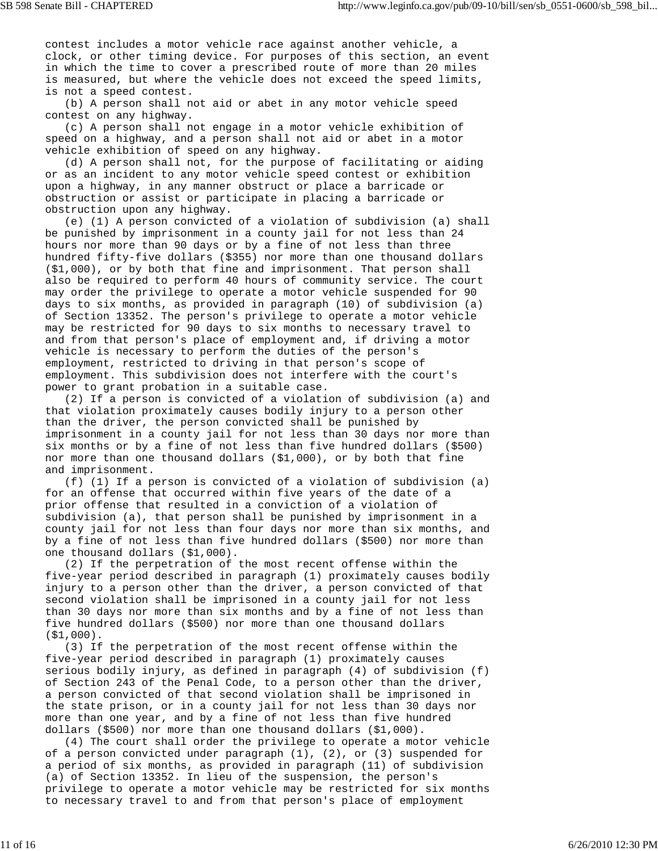contest includes a motor vehicle race against another vehicle, a clock, or other timing device. For purposes of this section, an event in which the time to cover a prescribed route of more than 20 miles is measured, but where the vehicle does not exceed the speed limits, is not a speed contest.

 (b) A person shall not aid or abet in any motor vehicle speed contest on any highway.

 (c) A person shall not engage in a motor vehicle exhibition of speed on a highway, and a person shall not aid or abet in a motor vehicle exhibition of speed on any highway.

 (d) A person shall not, for the purpose of facilitating or aiding or as an incident to any motor vehicle speed contest or exhibition upon a highway, in any manner obstruct or place a barricade or obstruction or assist or participate in placing a barricade or obstruction upon any highway.

 (e) (1) A person convicted of a violation of subdivision (a) shall be punished by imprisonment in a county jail for not less than 24 hours nor more than 90 days or by a fine of not less than three hundred fifty-five dollars (\$355) nor more than one thousand dollars (\$1,000), or by both that fine and imprisonment. That person shall also be required to perform 40 hours of community service. The court may order the privilege to operate a motor vehicle suspended for 90 days to six months, as provided in paragraph (10) of subdivision (a) of Section 13352. The person's privilege to operate a motor vehicle may be restricted for 90 days to six months to necessary travel to and from that person's place of employment and, if driving a motor vehicle is necessary to perform the duties of the person's employment, restricted to driving in that person's scope of employment. This subdivision does not interfere with the court's power to grant probation in a suitable case.

 (2) If a person is convicted of a violation of subdivision (a) and that violation proximately causes bodily injury to a person other than the driver, the person convicted shall be punished by imprisonment in a county jail for not less than 30 days nor more than six months or by a fine of not less than five hundred dollars (\$500) nor more than one thousand dollars (\$1,000), or by both that fine and imprisonment.

 (f) (1) If a person is convicted of a violation of subdivision (a) for an offense that occurred within five years of the date of a prior offense that resulted in a conviction of a violation of subdivision (a), that person shall be punished by imprisonment in a county jail for not less than four days nor more than six months, and by a fine of not less than five hundred dollars (\$500) nor more than one thousand dollars (\$1,000).

 (2) If the perpetration of the most recent offense within the five-year period described in paragraph (1) proximately causes bodily injury to a person other than the driver, a person convicted of that second violation shall be imprisoned in a county jail for not less than 30 days nor more than six months and by a fine of not less than five hundred dollars (\$500) nor more than one thousand dollars (\$1,000).

 (3) If the perpetration of the most recent offense within the five-year period described in paragraph (1) proximately causes serious bodily injury, as defined in paragraph (4) of subdivision (f) of Section 243 of the Penal Code, to a person other than the driver, a person convicted of that second violation shall be imprisoned in the state prison, or in a county jail for not less than 30 days nor more than one year, and by a fine of not less than five hundred dollars (\$500) nor more than one thousand dollars (\$1,000).

 (4) The court shall order the privilege to operate a motor vehicle of a person convicted under paragraph (1), (2), or (3) suspended for a period of six months, as provided in paragraph (11) of subdivision (a) of Section 13352. In lieu of the suspension, the person's privilege to operate a motor vehicle may be restricted for six months to necessary travel to and from that person's place of employment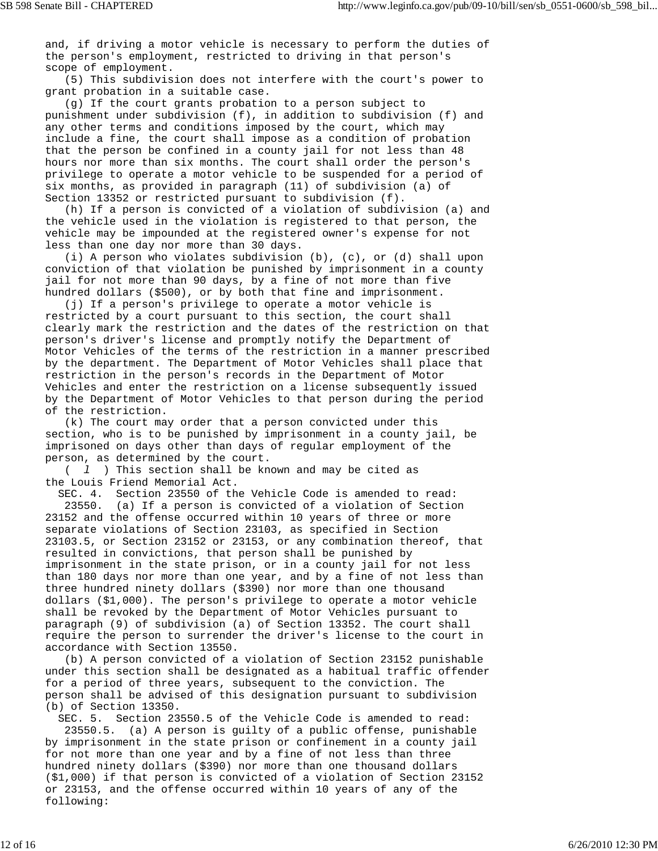and, if driving a motor vehicle is necessary to perform the duties of the person's employment, restricted to driving in that person's scope of employment.

 (5) This subdivision does not interfere with the court's power to grant probation in a suitable case.

 (g) If the court grants probation to a person subject to punishment under subdivision (f), in addition to subdivision (f) and any other terms and conditions imposed by the court, which may include a fine, the court shall impose as a condition of probation that the person be confined in a county jail for not less than 48 hours nor more than six months. The court shall order the person's privilege to operate a motor vehicle to be suspended for a period of six months, as provided in paragraph (11) of subdivision (a) of Section 13352 or restricted pursuant to subdivision (f).

 (h) If a person is convicted of a violation of subdivision (a) and the vehicle used in the violation is registered to that person, the vehicle may be impounded at the registered owner's expense for not less than one day nor more than 30 days.

 (i) A person who violates subdivision (b), (c), or (d) shall upon conviction of that violation be punished by imprisonment in a county jail for not more than 90 days, by a fine of not more than five hundred dollars (\$500), or by both that fine and imprisonment.

 (j) If a person's privilege to operate a motor vehicle is restricted by a court pursuant to this section, the court shall clearly mark the restriction and the dates of the restriction on that person's driver's license and promptly notify the Department of Motor Vehicles of the terms of the restriction in a manner prescribed by the department. The Department of Motor Vehicles shall place that restriction in the person's records in the Department of Motor Vehicles and enter the restriction on a license subsequently issued by the Department of Motor Vehicles to that person during the period of the restriction.

 (k) The court may order that a person convicted under this section, who is to be punished by imprisonment in a county jail, be imprisoned on days other than days of regular employment of the person, as determined by the court.

 ( *l* ) This section shall be known and may be cited as the Louis Friend Memorial Act.

 SEC. 4. Section 23550 of the Vehicle Code is amended to read: 23550. (a) If a person is convicted of a violation of Section 23152 and the offense occurred within 10 years of three or more separate violations of Section 23103, as specified in Section 23103.5, or Section 23152 or 23153, or any combination thereof, that resulted in convictions, that person shall be punished by imprisonment in the state prison, or in a county jail for not less than 180 days nor more than one year, and by a fine of not less than three hundred ninety dollars (\$390) nor more than one thousand dollars (\$1,000). The person's privilege to operate a motor vehicle shall be revoked by the Department of Motor Vehicles pursuant to paragraph (9) of subdivision (a) of Section 13352. The court shall require the person to surrender the driver's license to the court in accordance with Section 13550.

 (b) A person convicted of a violation of Section 23152 punishable under this section shall be designated as a habitual traffic offender for a period of three years, subsequent to the conviction. The person shall be advised of this designation pursuant to subdivision (b) of Section 13350.

 SEC. 5. Section 23550.5 of the Vehicle Code is amended to read: 23550.5. (a) A person is guilty of a public offense, punishable by imprisonment in the state prison or confinement in a county jail for not more than one year and by a fine of not less than three hundred ninety dollars (\$390) nor more than one thousand dollars (\$1,000) if that person is convicted of a violation of Section 23152 or 23153, and the offense occurred within 10 years of any of the following: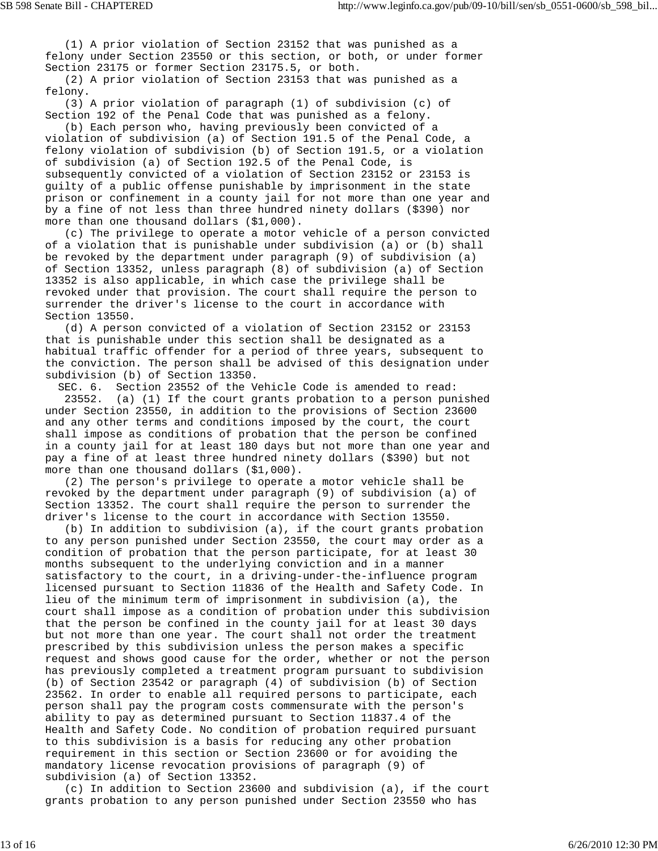(1) A prior violation of Section 23152 that was punished as a felony under Section 23550 or this section, or both, or under former Section 23175 or former Section 23175.5, or both.

 (2) A prior violation of Section 23153 that was punished as a felony.

 (3) A prior violation of paragraph (1) of subdivision (c) of Section 192 of the Penal Code that was punished as a felony.

 (b) Each person who, having previously been convicted of a violation of subdivision (a) of Section 191.5 of the Penal Code, a felony violation of subdivision (b) of Section 191.5, or a violation of subdivision (a) of Section 192.5 of the Penal Code, is subsequently convicted of a violation of Section 23152 or 23153 is guilty of a public offense punishable by imprisonment in the state prison or confinement in a county jail for not more than one year and by a fine of not less than three hundred ninety dollars (\$390) nor more than one thousand dollars (\$1,000).

 (c) The privilege to operate a motor vehicle of a person convicted of a violation that is punishable under subdivision (a) or (b) shall be revoked by the department under paragraph (9) of subdivision (a) of Section 13352, unless paragraph (8) of subdivision (a) of Section 13352 is also applicable, in which case the privilege shall be revoked under that provision. The court shall require the person to surrender the driver's license to the court in accordance with Section 13550.

 (d) A person convicted of a violation of Section 23152 or 23153 that is punishable under this section shall be designated as a habitual traffic offender for a period of three years, subsequent to the conviction. The person shall be advised of this designation under subdivision (b) of Section 13350.

 SEC. 6. Section 23552 of the Vehicle Code is amended to read: 23552. (a) (1) If the court grants probation to a person punished under Section 23550, in addition to the provisions of Section 23600 and any other terms and conditions imposed by the court, the court shall impose as conditions of probation that the person be confined in a county jail for at least 180 days but not more than one year and pay a fine of at least three hundred ninety dollars (\$390) but not more than one thousand dollars (\$1,000).

 (2) The person's privilege to operate a motor vehicle shall be revoked by the department under paragraph (9) of subdivision (a) of Section 13352. The court shall require the person to surrender the driver's license to the court in accordance with Section 13550.

 (b) In addition to subdivision (a), if the court grants probation to any person punished under Section 23550, the court may order as a condition of probation that the person participate, for at least 30 months subsequent to the underlying conviction and in a manner satisfactory to the court, in a driving-under-the-influence program licensed pursuant to Section 11836 of the Health and Safety Code. In lieu of the minimum term of imprisonment in subdivision (a), the court shall impose as a condition of probation under this subdivision that the person be confined in the county jail for at least 30 days but not more than one year. The court shall not order the treatment prescribed by this subdivision unless the person makes a specific request and shows good cause for the order, whether or not the person has previously completed a treatment program pursuant to subdivision (b) of Section 23542 or paragraph (4) of subdivision (b) of Section 23562. In order to enable all required persons to participate, each person shall pay the program costs commensurate with the person's ability to pay as determined pursuant to Section 11837.4 of the Health and Safety Code. No condition of probation required pursuant to this subdivision is a basis for reducing any other probation requirement in this section or Section 23600 or for avoiding the mandatory license revocation provisions of paragraph (9) of subdivision (a) of Section 13352.

 (c) In addition to Section 23600 and subdivision (a), if the court grants probation to any person punished under Section 23550 who has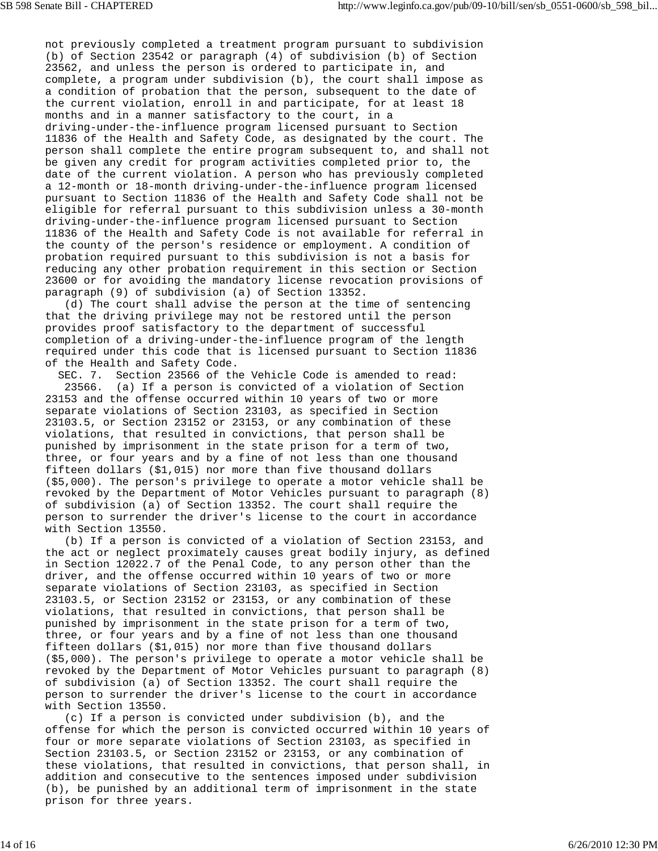not previously completed a treatment program pursuant to subdivision (b) of Section 23542 or paragraph (4) of subdivision (b) of Section 23562, and unless the person is ordered to participate in, and complete, a program under subdivision (b), the court shall impose as a condition of probation that the person, subsequent to the date of the current violation, enroll in and participate, for at least 18 months and in a manner satisfactory to the court, in a driving-under-the-influence program licensed pursuant to Section 11836 of the Health and Safety Code, as designated by the court. The person shall complete the entire program subsequent to, and shall not be given any credit for program activities completed prior to, the date of the current violation. A person who has previously completed a 12-month or 18-month driving-under-the-influence program licensed pursuant to Section 11836 of the Health and Safety Code shall not be eligible for referral pursuant to this subdivision unless a 30-month driving-under-the-influence program licensed pursuant to Section 11836 of the Health and Safety Code is not available for referral in the county of the person's residence or employment. A condition of probation required pursuant to this subdivision is not a basis for reducing any other probation requirement in this section or Section 23600 or for avoiding the mandatory license revocation provisions of paragraph (9) of subdivision (a) of Section 13352.

 (d) The court shall advise the person at the time of sentencing that the driving privilege may not be restored until the person provides proof satisfactory to the department of successful completion of a driving-under-the-influence program of the length required under this code that is licensed pursuant to Section 11836 of the Health and Safety Code.

 SEC. 7. Section 23566 of the Vehicle Code is amended to read: 23566. (a) If a person is convicted of a violation of Section 23153 and the offense occurred within 10 years of two or more separate violations of Section 23103, as specified in Section 23103.5, or Section 23152 or 23153, or any combination of these violations, that resulted in convictions, that person shall be punished by imprisonment in the state prison for a term of two, three, or four years and by a fine of not less than one thousand fifteen dollars (\$1,015) nor more than five thousand dollars (\$5,000). The person's privilege to operate a motor vehicle shall be revoked by the Department of Motor Vehicles pursuant to paragraph (8) of subdivision (a) of Section 13352. The court shall require the person to surrender the driver's license to the court in accordance with Section 13550.

 (b) If a person is convicted of a violation of Section 23153, and the act or neglect proximately causes great bodily injury, as defined in Section 12022.7 of the Penal Code, to any person other than the driver, and the offense occurred within 10 years of two or more separate violations of Section 23103, as specified in Section 23103.5, or Section 23152 or 23153, or any combination of these violations, that resulted in convictions, that person shall be punished by imprisonment in the state prison for a term of two, three, or four years and by a fine of not less than one thousand fifteen dollars (\$1,015) nor more than five thousand dollars (\$5,000). The person's privilege to operate a motor vehicle shall be revoked by the Department of Motor Vehicles pursuant to paragraph (8) of subdivision (a) of Section 13352. The court shall require the person to surrender the driver's license to the court in accordance with Section 13550.

 (c) If a person is convicted under subdivision (b), and the offense for which the person is convicted occurred within 10 years of four or more separate violations of Section 23103, as specified in Section 23103.5, or Section 23152 or 23153, or any combination of these violations, that resulted in convictions, that person shall, in addition and consecutive to the sentences imposed under subdivision (b), be punished by an additional term of imprisonment in the state prison for three years.